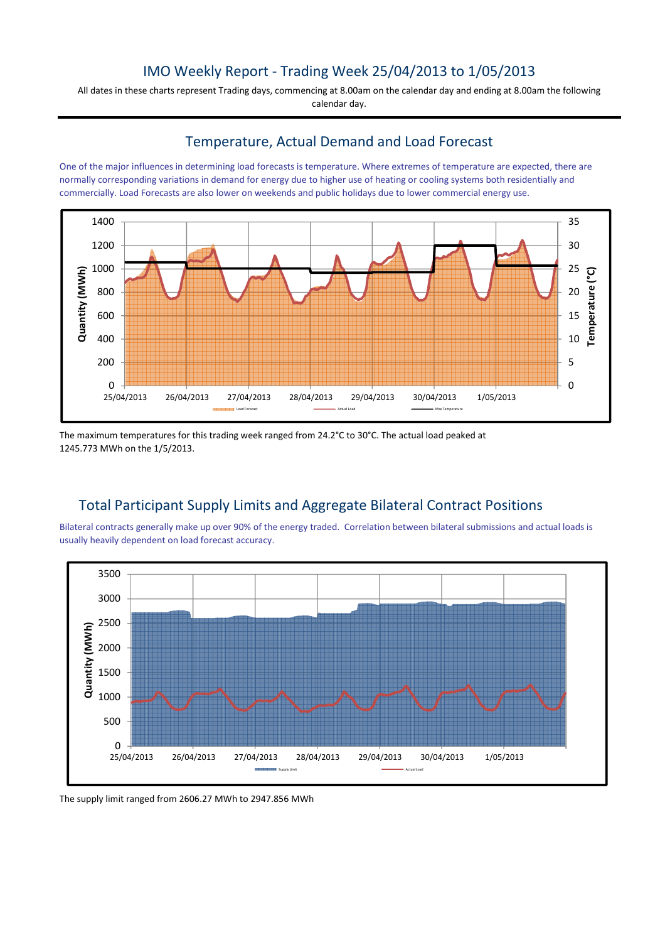### IMO Weekly Report - Trading Week 25/04/2013 to 1/05/2013

All dates in these charts represent Trading days, commencing at 8.00am on the calendar day and ending at 8.00am the following calendar day.

#### Temperature, Actual Demand and Load Forecast

One of the major influences in determining load forecasts is temperature. Where extremes of temperature are expected, there are normally corresponding variations in demand for energy due to higher use of heating or cooling systems both residentially and commercially. Load Forecasts are also lower on weekends and public holidays due to lower commercial energy use.



The maximum temperatures for this trading week ranged from 24.2°C to 30°C. The actual load peaked at 1245.773 MWh on the 1/5/2013.

# Total Participant Supply Limits and Aggregate Bilateral Contract Positions

Bilateral contracts generally make up over 90% of the energy traded. Correlation between bilateral submissions and actual loads is usually heavily dependent on load forecast accuracy.



The supply limit ranged from 2606.27 MWh to 2947.856 MWh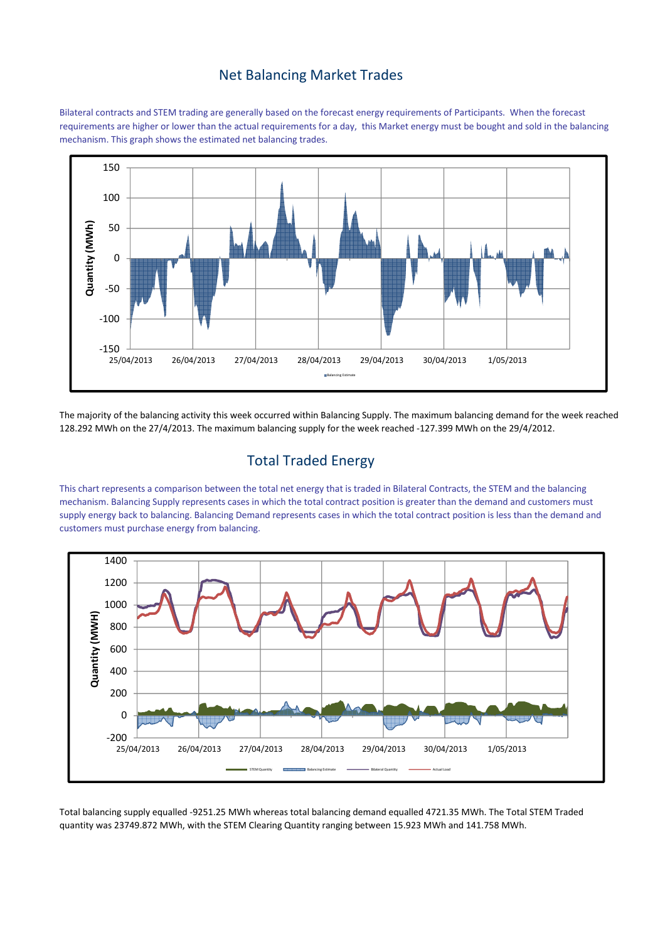### Net Balancing Market Trades

Bilateral contracts and STEM trading are generally based on the forecast energy requirements of Participants. When the forecast requirements are higher or lower than the actual requirements for a day, this Market energy must be bought and sold in the balancing mechanism. This graph shows the estimated net balancing trades.



The majority of the balancing activity this week occurred within Balancing Supply. The maximum balancing demand for the week reached 128.292 MWh on the 27/4/2013. The maximum balancing supply for the week reached -127.399 MWh on the 29/4/2012.

# Total Traded Energy

This chart represents a comparison between the total net energy that is traded in Bilateral Contracts, the STEM and the balancing mechanism. Balancing Supply represents cases in which the total contract position is greater than the demand and customers must supply energy back to balancing. Balancing Demand represents cases in which the total contract position is less than the demand and customers must purchase energy from balancing.



Total balancing supply equalled -9251.25 MWh whereas total balancing demand equalled 4721.35 MWh. The Total STEM Traded quantity was 23749.872 MWh, with the STEM Clearing Quantity ranging between 15.923 MWh and 141.758 MWh.